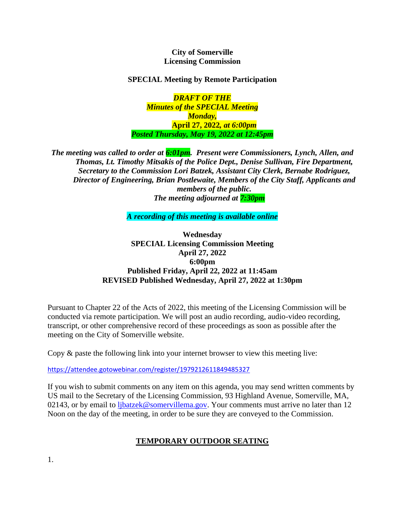## **City of Somerville Licensing Commission**

# **SPECIAL Meeting by Remote Participation**

*DRAFT OF THE Minutes of the SPECIAL Meeting Monday,*  **April 27, 2022***, at 6:00pm Posted Thursday, May 19, 2022 at 12:45pm*

*The meeting was called to order at 6:01pm. Present were Commissioners, Lynch, Allen, and Thomas, Lt. Timothy Mitsakis of the Police Dept., Denise Sullivan, Fire Department, Secretary to the Commission Lori Batzek, Assistant City Clerk, Bernabe Rodriguez, Director of Engineering, Brian Postlewaite, Members of the City Staff, Applicants and members of the public. The meeting adjourned at 7:30pm*

*A recording of this meeting is available online* 

**Wednesday SPECIAL Licensing Commission Meeting April 27, 2022 6:00pm Published Friday, April 22, 2022 at 11:45am REVISED Published Wednesday, April 27, 2022 at 1:30pm**

Pursuant to Chapter 22 of the Acts of 2022, this meeting of the Licensing Commission will be conducted via remote participation. We will post an audio recording, audio-video recording, transcript, or other comprehensive record of these proceedings as soon as possible after the meeting on the City of Somerville website.

Copy & paste the following link into your internet browser to view this meeting live:

<https://attendee.gotowebinar.com/register/1979212611849485327>

If you wish to submit comments on any item on this agenda, you may send written comments by US mail to the Secretary of the Licensing Commission, 93 Highland Avenue, Somerville, MA, 02143, or by email to [ljbatzek@somervillema.gov.](mailto:ljbatzek@somervillema.gov) Your comments must arrive no later than 12 Noon on the day of the meeting, in order to be sure they are conveyed to the Commission.

# **TEMPORARY OUTDOOR SEATING**

1.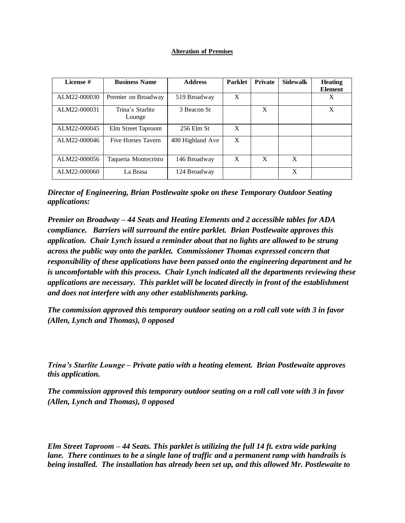### **Alteration of Premises**

| License #    | <b>Business Name</b>       | <b>Address</b>   | <b>Parklet</b> | <b>Private</b> | <b>Sidewalk</b> | <b>Heating</b><br><b>Element</b> |
|--------------|----------------------------|------------------|----------------|----------------|-----------------|----------------------------------|
| ALM22-000030 | Premier on Broadway        | 519 Broadway     | X              |                |                 | X                                |
| ALM22-000031 | Trina's Starlite<br>Lounge | 3 Beacon St      |                | X              |                 | X                                |
| ALM22-000045 | Elm Street Taproom         | $256$ Elm St     | X              |                |                 |                                  |
| ALM22-000046 | <b>Five Horses Tavern</b>  | 400 Highland Ave | X              |                |                 |                                  |
| ALM22-000056 | Taqueria Montecristo       | 146 Broadway     | X              | X              | X               |                                  |
| ALM22-000060 | La Brasa                   | 124 Broadway     |                |                | X               |                                  |

*Director of Engineering, Brian Postlewaite spoke on these Temporary Outdoor Seating applications:*

*Premier on Broadway – 44 Seats and Heating Elements and 2 accessible tables for ADA compliance. Barriers will surround the entire parklet. Brian Postlewaite approves this application. Chair Lynch issued a reminder about that no lights are allowed to be strung across the public way onto the parklet. Commissioner Thomas expressed concern that responsibility of these applications have been passed onto the engineering department and he is uncomfortable with this process. Chair Lynch indicated all the departments reviewing these applications are necessary. This parklet will be located directly in front of the establishment and does not interfere with any other establishments parking.* 

*The commission approved this temporary outdoor seating on a roll call vote with 3 in favor (Allen, Lynch and Thomas), 0 opposed* 

*Trina's Starlite Lounge – Private patio with a heating element. Brian Postlewaite approves this application.* 

*The commission approved this temporary outdoor seating on a roll call vote with 3 in favor (Allen, Lynch and Thomas), 0 opposed* 

*Elm Street Taproom – 44 Seats. This parklet is utilizing the full 14 ft. extra wide parking lane. There continues to be a single lane of traffic and a permanent ramp with handrails is being installed. The installation has already been set up, and this allowed Mr. Postlewaite to*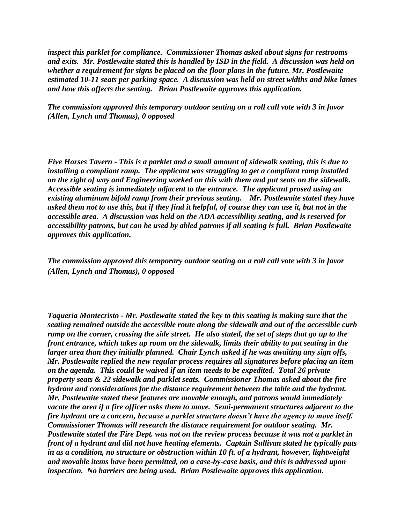*inspect this parklet for compliance. Commissioner Thomas asked about signs for restrooms and exits. Mr. Postlewaite stated this is handled by ISD in the field. A discussion was held on whether a requirement for signs be placed on the floor plans in the future. Mr. Postlewaite estimated 10-11 seats per parking space. A discussion was held on street widths and bike lanes and how this affects the seating. Brian Postlewaite approves this application.*

*The commission approved this temporary outdoor seating on a roll call vote with 3 in favor (Allen, Lynch and Thomas), 0 opposed* 

*Five Horses Tavern - This is a parklet and a small amount of sidewalk seating, this is due to installing a compliant ramp. The applicant was struggling to get a compliant ramp installed on the right of way and Engineering worked on this with them and put seats on the sidewalk. Accessible seating is immediately adjacent to the entrance. The applicant prosed using an existing aluminum bifold ramp from their previous seating. Mr. Postlewaite stated they have asked them not to use this, but if they find it helpful, of course they can use it, but not in the accessible area. A discussion was held on the ADA accessibility seating, and is reserved for accessibility patrons, but can be used by abled patrons if all seating is full. Brian Postlewaite approves this application.*

*The commission approved this temporary outdoor seating on a roll call vote with 3 in favor (Allen, Lynch and Thomas), 0 opposed* 

*Taqueria Montecristo - Mr. Postlewaite stated the key to this seating is making sure that the seating remained outside the accessible route along the sidewalk and out of the accessible curb ramp on the corner, crossing the side street. He also stated, the set of steps that go up to the front entrance, which takes up room on the sidewalk, limits their ability to put seating in the larger area than they initially planned. Chair Lynch asked if he was awaiting any sign offs, Mr. Postlewaite replied the new regular process requires all signatures before placing an item on the agenda. This could be waived if an item needs to be expedited. Total 26 private property seats & 22 sidewalk and parklet seats. Commissioner Thomas asked about the fire hydrant and considerations for the distance requirement between the table and the hydrant. Mr. Postlewaite stated these features are movable enough, and patrons would immediately vacate the area if a fire officer asks them to move. Semi-permanent structures adjacent to the fire hydrant are a concern, because a parklet structure doesn't have the agency to move itself. Commissioner Thomas will research the distance requirement for outdoor seating. Mr. Postlewaite stated the Fire Dept. was not on the review process because it was not a parklet in front of a hydrant and did not have heating elements. Captain Sullivan stated he typically puts in as a condition, no structure or obstruction within 10 ft. of a hydrant, however, lightweight and movable items have been permitted, on a case-by-case basis, and this is addressed upon inspection. No barriers are being used. Brian Postlewaite approves this application.*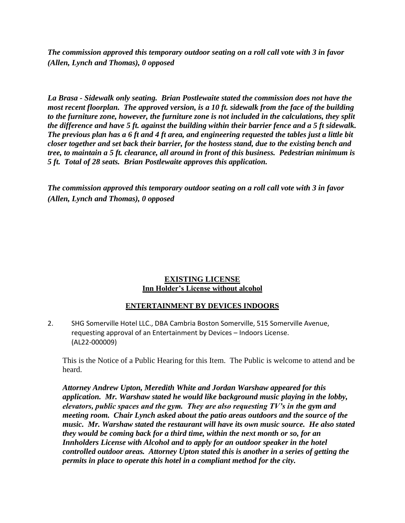*The commission approved this temporary outdoor seating on a roll call vote with 3 in favor (Allen, Lynch and Thomas), 0 opposed* 

*La Brasa - Sidewalk only seating. Brian Postlewaite stated the commission does not have the most recent floorplan. The approved version, is a 10 ft. sidewalk from the face of the building to the furniture zone, however, the furniture zone is not included in the calculations, they split the difference and have 5 ft. against the building within their barrier fence and a 5 ft sidewalk. The previous plan has a 6 ft and 4 ft area, and engineering requested the tables just a little bit closer together and set back their barrier, for the hostess stand, due to the existing bench and tree, to maintain a 5 ft. clearance, all around in front of this business. Pedestrian minimum is 5 ft. Total of 28 seats. Brian Postlewaite approves this application.*

*The commission approved this temporary outdoor seating on a roll call vote with 3 in favor (Allen, Lynch and Thomas), 0 opposed*

## **EXISTING LICENSE Inn Holder's License without alcohol**

## **ENTERTAINMENT BY DEVICES INDOORS**

2. SHG Somerville Hotel LLC., DBA Cambria Boston Somerville, 515 Somerville Avenue, requesting approval of an Entertainment by Devices – Indoors License. (AL22-000009)

This is the Notice of a Public Hearing for this Item. The Public is welcome to attend and be heard.

*Attorney Andrew Upton, Meredith White and Jordan Warshaw appeared for this application. Mr. Warshaw stated he would like background music playing in the lobby, elevators, public spaces and the gym. They are also requesting TV's in the gym and meeting room. Chair Lynch asked about the patio areas outdoors and the source of the music. Mr. Warshaw stated the restaurant will have its own music source. He also stated they would be coming back for a third time, within the next month or so, for an Innholders License with Alcohol and to apply for an outdoor speaker in the hotel controlled outdoor areas. Attorney Upton stated this is another in a series of getting the permits in place to operate this hotel in a compliant method for the city.*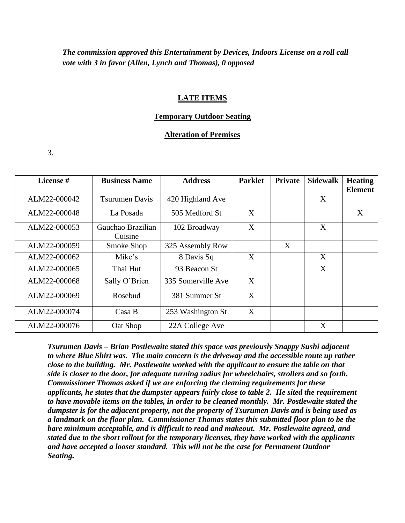*The commission approved this Entertainment by Devices, Indoors License on a roll call vote with 3 in favor (Allen, Lynch and Thomas), 0 opposed* 

#### **LATE ITEMS**

## **Temporary Outdoor Seating**

### **Alteration of Premises**

3.

| License #    | <b>Business Name</b>         | <b>Address</b>     | <b>Parklet</b> | <b>Private</b> | <b>Sidewalk</b> | <b>Heating</b><br><b>Element</b> |
|--------------|------------------------------|--------------------|----------------|----------------|-----------------|----------------------------------|
| ALM22-000042 | <b>Tsurumen Davis</b>        | 420 Highland Ave   |                |                | X               |                                  |
| ALM22-000048 | La Posada                    | 505 Medford St     | X              |                |                 | X                                |
| ALM22-000053 | Gauchao Brazilian<br>Cuisine | 102 Broadway       | X              |                | X               |                                  |
| ALM22-000059 | Smoke Shop                   | 325 Assembly Row   |                | X              |                 |                                  |
| ALM22-000062 | Mike's                       | 8 Davis Sq         | X              |                | X               |                                  |
| ALM22-000065 | Thai Hut                     | 93 Beacon St       |                |                | X               |                                  |
| ALM22-000068 | Sally O'Brien                | 335 Somerville Ave | $\mathbf{X}$   |                |                 |                                  |
| ALM22-000069 | Rosebud                      | 381 Summer St      | X              |                |                 |                                  |
| ALM22-000074 | $\text{Cas} \, B$            | 253 Washington St  | X              |                |                 |                                  |
| ALM22-000076 | Oat Shop                     | 22A College Ave    |                |                | X               |                                  |

*Tsurumen Davis – Brian Postlewaite stated this space was previously Snappy Sushi adjacent to where Blue Shirt was. The main concern is the driveway and the accessible route up rather close to the building. Mr. Postlewaite worked with the applicant to ensure the table on that side is closer to the door, for adequate turning radius for wheelchairs, strollers and so forth. Commissioner Thomas asked if we are enforcing the cleaning requirements for these applicants, he states that the dumpster appears fairly close to table 2. He sited the requirement to have movable items on the tables, in order to be cleaned monthly. Mr. Postlewaite stated the dumpster is for the adjacent property, not the property of Tsurumen Davis and is being used as a landmark on the floor plan. Commissioner Thomas states this submitted floor plan to be the bare minimum acceptable, and is difficult to read and makeout. Mr. Postlewaite agreed, and stated due to the short rollout for the temporary licenses, they have worked with the applicants and have accepted a looser standard. This will not be the case for Permanent Outdoor Seating.*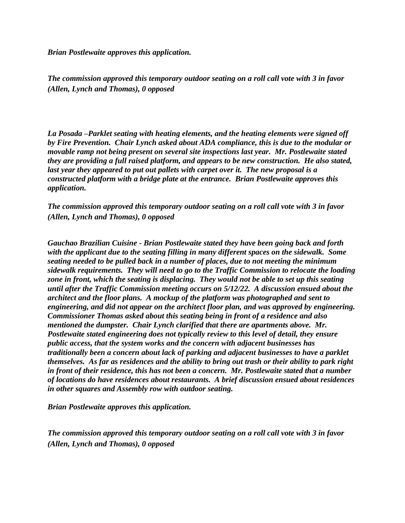*Brian Postlewaite approves this application.*

*The commission approved this temporary outdoor seating on a roll call vote with 3 in favor (Allen, Lynch and Thomas), 0 opposed* 

*La Posada –Parklet seating with heating elements, and the heating elements were signed off by Fire Prevention. Chair Lynch asked about ADA compliance, this is due to the modular or movable ramp not being present on several site inspections last year. Mr. Postlewaite stated they are providing a full raised platform, and appears to be new construction. He also stated, last year they appeared to put out pallets with carpet over it. The new proposal is a constructed platform with a bridge plate at the entrance. Brian Postlewaite approves this application.*

*The commission approved this temporary outdoor seating on a roll call vote with 3 in favor (Allen, Lynch and Thomas), 0 opposed* 

*Gauchao Brazilian Cuisine - Brian Postlewaite stated they have been going back and forth with the applicant due to the seating filling in many different spaces on the sidewalk. Some seating needed to be pulled back in a number of places, due to not meeting the minimum sidewalk requirements. They will need to go to the Traffic Commission to relocate the loading*  zone in front, which the seating is displacing. They would not be able to set up this seating *until after the Traffic Commission meeting occurs on 5/12/22. A discussion ensued about the architect and the floor plans. A mockup of the platform was photographed and sent to engineering, and did not appear on the architect floor plan, and was approved by engineering. Commissioner Thomas asked about this seating being in front of a residence and also mentioned the dumpster. Chair Lynch clarified that there are apartments above. Mr. Postlewaite stated engineering does not typically review to this level of detail, they ensure public access, that the system works and the concern with adjacent businesses has traditionally been a concern about lack of parking and adjacent businesses to have a parklet themselves. As far as residences and the ability to bring out trash or their ability to park right in front of their residence, this has not been a concern. Mr. Postlewaite stated that a number of locations do have residences about restaurants. A brief discussion ensued about residences in other squares and Assembly row with outdoor seating.* 

*Brian Postlewaite approves this application.*

*The commission approved this temporary outdoor seating on a roll call vote with 3 in favor (Allen, Lynch and Thomas), 0 opposed*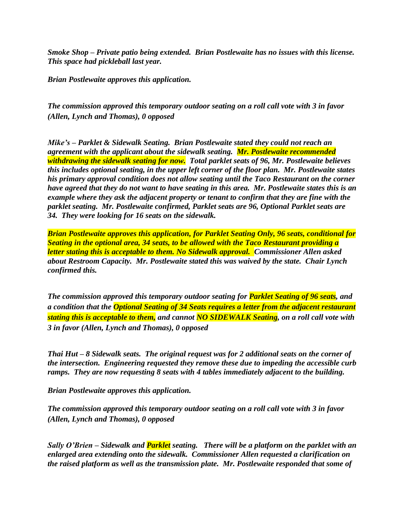*Smoke Shop – Private patio being extended. Brian Postlewaite has no issues with this license. This space had pickleball last year.*

*Brian Postlewaite approves this application.*

*The commission approved this temporary outdoor seating on a roll call vote with 3 in favor (Allen, Lynch and Thomas), 0 opposed* 

*Mike's – Parklet & Sidewalk Seating. Brian Postlewaite stated they could not reach an agreement with the applicant about the sidewalk seating. Mr. Postlewaite recommended withdrawing the sidewalk seating for now. Total parklet seats of 96, Mr. Postlewaite believes this includes optional seating, in the upper left corner of the floor plan. Mr. Postlewaite states his primary approval condition does not allow seating until the Taco Restaurant on the corner have agreed that they do not want to have seating in this area. Mr. Postlewaite states this is an example where they ask the adjacent property or tenant to confirm that they are fine with the parklet seating. Mr. Postlewaite confirmed, Parklet seats are 96, Optional Parklet seats are 34. They were looking for 16 seats on the sidewalk.*

*Brian Postlewaite approves this application, for Parklet Seating Only, 96 seats, conditional for Seating in the optional area, 34 seats, to be allowed with the Taco Restaurant providing a letter stating this is acceptable to them. No Sidewalk approval. Commissioner Allen asked about Restroom Capacity. Mr. Postlewaite stated this was waived by the state. Chair Lynch confirmed this.*

*The commission approved this temporary outdoor seating for Parklet Seating of 96 seats, and a condition that the Optional Seating of 34 Seats requires a letter from the adjacent restaurant stating this is acceptable to them, and cannot NO SIDEWALK Seating, on a roll call vote with 3 in favor (Allen, Lynch and Thomas), 0 opposed* 

*Thai Hut – 8 Sidewalk seats. The original request was for 2 additional seats on the corner of the intersection. Engineering requested they remove these due to impeding the accessible curb ramps. They are now requesting 8 seats with 4 tables immediately adjacent to the building.*

*Brian Postlewaite approves this application.*

*The commission approved this temporary outdoor seating on a roll call vote with 3 in favor (Allen, Lynch and Thomas), 0 opposed* 

*Sally O'Brien – Sidewalk and Parklet seating. There will be a platform on the parklet with an enlarged area extending onto the sidewalk. Commissioner Allen requested a clarification on the raised platform as well as the transmission plate. Mr. Postlewaite responded that some of*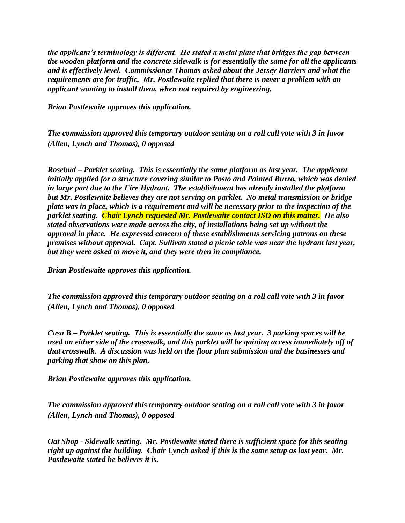*the applicant's terminology is different. He stated a metal plate that bridges the gap between the wooden platform and the concrete sidewalk is for essentially the same for all the applicants and is effectively level. Commissioner Thomas asked about the Jersey Barriers and what the requirements are for traffic. Mr. Postlewaite replied that there is never a problem with an applicant wanting to install them, when not required by engineering.*

*Brian Postlewaite approves this application.*

*The commission approved this temporary outdoor seating on a roll call vote with 3 in favor (Allen, Lynch and Thomas), 0 opposed* 

*Rosebud – Parklet seating. This is essentially the same platform as last year. The applicant initially applied for a structure covering similar to Posto and Painted Burro, which was denied in large part due to the Fire Hydrant. The establishment has already installed the platform but Mr. Postlewaite believes they are not serving on parklet. No metal transmission or bridge plate was in place, which is a requirement and will be necessary prior to the inspection of the parklet seating. Chair Lynch requested Mr. Postlewaite contact ISD on this matter. He also stated observations were made across the city, of installations being set up without the approval in place. He expressed concern of these establishments servicing patrons on these premises without approval. Capt. Sullivan stated a picnic table was near the hydrant last year, but they were asked to move it, and they were then in compliance.*

*Brian Postlewaite approves this application.*

*The commission approved this temporary outdoor seating on a roll call vote with 3 in favor (Allen, Lynch and Thomas), 0 opposed* 

*Casa B – Parklet seating. This is essentially the same as last year. 3 parking spaces will be used on either side of the crosswalk, and this parklet will be gaining access immediately off of that crosswalk. A discussion was held on the floor plan submission and the businesses and parking that show on this plan.*

*Brian Postlewaite approves this application.*

*The commission approved this temporary outdoor seating on a roll call vote with 3 in favor (Allen, Lynch and Thomas), 0 opposed* 

*Oat Shop - Sidewalk seating. Mr. Postlewaite stated there is sufficient space for this seating right up against the building. Chair Lynch asked if this is the same setup as last year. Mr. Postlewaite stated he believes it is.*